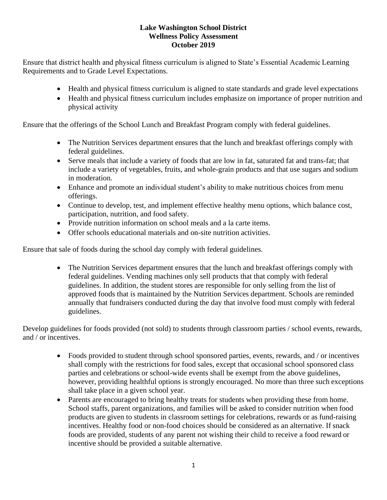## **Lake Washington School District Wellness Policy Assessment October 2019**

Ensure that district health and physical fitness curriculum is aligned to State's Essential Academic Learning Requirements and to Grade Level Expectations.

- Health and physical fitness curriculum is aligned to state standards and grade level expectations
- Health and physical fitness curriculum includes emphasize on importance of proper nutrition and physical activity

Ensure that the offerings of the School Lunch and Breakfast Program comply with federal guidelines.

- The Nutrition Services department ensures that the lunch and breakfast offerings comply with federal guidelines.
- Serve meals that include a variety of foods that are low in fat, saturated fat and trans-fat; that include a variety of vegetables, fruits, and whole-grain products and that use sugars and sodium in moderation.
- Enhance and promote an individual student's ability to make nutritious choices from menu offerings.
- Continue to develop, test, and implement effective healthy menu options, which balance cost, participation, nutrition, and food safety.
- Provide nutrition information on school meals and a la carte items.
- Offer schools educational materials and on-site nutrition activities.

Ensure that sale of foods during the school day comply with federal guidelines.

• The Nutrition Services department ensures that the lunch and breakfast offerings comply with federal guidelines. Vending machines only sell products that that comply with federal guidelines. In addition, the student stores are responsible for only selling from the list of approved foods that is maintained by the Nutrition Services department. Schools are reminded annually that fundraisers conducted during the day that involve food must comply with federal guidelines.

Develop guidelines for foods provided (not sold) to students through classroom parties / school events, rewards, and / or incentives.

- Foods provided to student through school sponsored parties, events, rewards, and / or incentives shall comply with the restrictions for food sales, except that occasional school sponsored class parties and celebrations or school-wide events shall be exempt from the above guidelines, however, providing healthful options is strongly encouraged. No more than three such exceptions shall take place in a given school year.
- Parents are encouraged to bring healthy treats for students when providing these from home. School staffs, parent organizations, and families will be asked to consider nutrition when food products are given to students in classroom settings for celebrations, rewards or as fund-raising incentives. Healthy food or non-food choices should be considered as an alternative. If snack foods are provided, students of any parent not wishing their child to receive a food reward or incentive should be provided a suitable alternative.